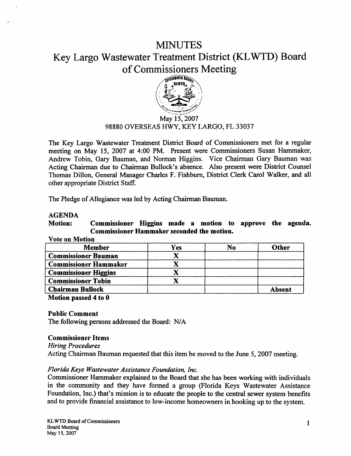# **MINUTES** Key Largo Wastewater Treatment District (KL WTD) Board of Commissioners Meeting



## May 15, 2007 98880 OVERSEAS HWY, KEY LARQO, FL 33037

The Key Largo Wastewater Treatment District Board of Commissioners met for a regular meeting on May 15, 2007 at 4:00 PM. Present were Commissioners Susan Hammaker, Andrew Tobin, Gary Bauman, and Norman Higgins. Vice Chairman Gary Bauman was Acting Chairman due to Chairman Bullock's absence. Also present were District Counsel Thomas Dillon, General Manager Charles F. Fishburn, District Clerk Carol Walker, and all other appropriate District Staff.

The Pledge of Allegiance was led by Acting Chairman Bauman.

# AGENDA

Motion: Commissioner Higgins made a motion to approve the agenda. Commissioner Hammaker seconded the motion.

#### Vote on Motion

| <b>Member</b>                | Yes | No | Other         |
|------------------------------|-----|----|---------------|
| <b>Commissioner Bauman</b>   |     |    |               |
| <b>Commissioner Hammaker</b> |     |    |               |
| <b>Commissioner Higgins</b>  |     |    |               |
| <b>Commissioner Tobin</b>    |     |    |               |
| <b>Chairman Bullock</b>      |     |    | <b>Absent</b> |

Motion passed 4 to 0

Public Comment

The following persons addressed the Board: N/A

## Commissioner Items

*Hiring Procedures* 

Acting Chairman Bauman requested that this item be moved to the June 5, 2007 meeting.

## *Florida Keys Wastewater Assistance Foundation, Inc.*

Commissioner Hammaker explained to the Board that she has been working with individuals in the community and they have formed a group (Florida Keys Wastewater Assistance Foundation, Inc.) that's mission is to educate the people to the central sewer system benefits and to provide financial assistance to low-income homeovvners in hooking up to the system.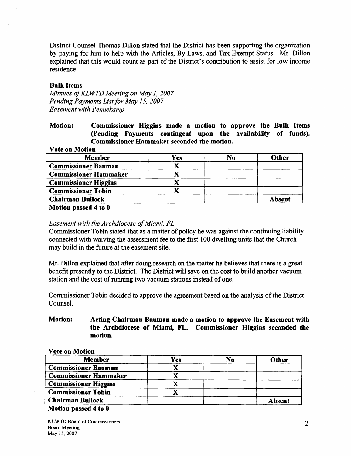District Counsel Thomas Dillon stated that the District has been supporting the organization by paying for him to help with the Articles, By-Laws, and Tax Exempt Status. Mr. Dillon explained that this would count as part of the District's contribution to assist for low income residence

# Bulk Items

*Minutes of KLWTD Meeting on May 1, 2007 Pending Payments List for May 15, 2007 Easement with Pennekamp* 

Motion: Commissioner Higgins made a motion to approve the Bulk Items (Pending Payments contingent upon the availability of funds). Commissioner Hammaker seconded the motion.

### Vote on Motion

| <b>Member</b>                | Yes | No | Other  |
|------------------------------|-----|----|--------|
| <b>Commissioner Bauman</b>   |     |    |        |
| <b>Commissioner Hammaker</b> |     |    |        |
| <b>Commissioner Higgins</b>  |     |    |        |
| <b>Commissioner Tobin</b>    |     |    |        |
| <b>Chairman Bullock</b>      |     |    | Absent |

Motion passed 4 to 0

# *Easement with the Archdiocese of Miami, FL*

Commissioner Tobin stated that as a matter of policy he was against the continuing liability connected with waiving the assessment fee to the first I 00 dwelling units that the Church may build in the future at the easement site.

Mr. Dillon explained that after doing research on the matter he believes that there is a great benefit presently to the District. The District will save on the cost to build another vacuum station and the cost of running two vacuum stations instead of one.

Commissioner Tobin decided to approve the agreement based on the analysis of the District Counsel.

# Motion: Acting Chairman Bauman made a motion to approve the Easement with the Archdiocese of Miami, FL. Commissioner Higgins seconded the motion.

#### Vote on Motion

| <b>Member</b>                | Yes | N <sub>0</sub> | Other         |
|------------------------------|-----|----------------|---------------|
| <b>Commissioner Bauman</b>   |     |                |               |
| <b>Commissioner Hammaker</b> |     |                |               |
| <b>Commissioner Higgins</b>  |     |                |               |
| <b>Commissioner Tobin</b>    |     |                |               |
| <b>Chairman Bullock</b>      |     |                | <b>Absent</b> |
| Motion passed 4 to 0         |     |                |               |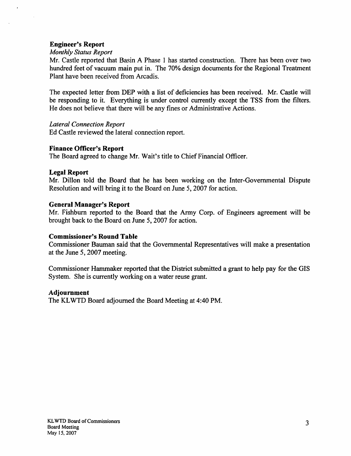# Engineer's Report

## *Monthly Status Report*

Mr. Castle reported that Basin A Phase I has started construction. There has been over two hundred feet of vacuum main put in. The 70% design documents for the Regional Treatment Plant have been received from Arcadis.

The expected letter from DEP with a list of deficiencies has been received. Mr. Castle will be responding to it. Everything is under control currently except the TSS from the filters. He does not believe that there will be any fines or Administrative Actions.

## *Lateral Connection Report*

Ed Castle reviewed the lateral connection report.

# Finance Officer's Report

The Board agreed to change Mr. Wait's title to Chief Financial Officer.

## Legal Report

Mr. Dillon told the Board that he has been working on the Inter-Governmental Dispute Resolution and will bring it to the Board on June 5, 2007 for action.

# General Manager's Report

Mr. Fishburn reported to the Board that the Army Corp. of Engineers agreement will be brought back to the Board on June 5, 2007 for action.

# Commissioner's Round Table

Commissioner Bauman said that the Governmental Representatives will make a presentation at the June 5, 2007 meeting.

Commissioner Hammaker reported that the District submitted a grant to help pay for the GIS System. She is currently working on a water reuse grant.

## Adjournment

The KLWTD Board adjourned the Board Meeting at 4:40 PM.